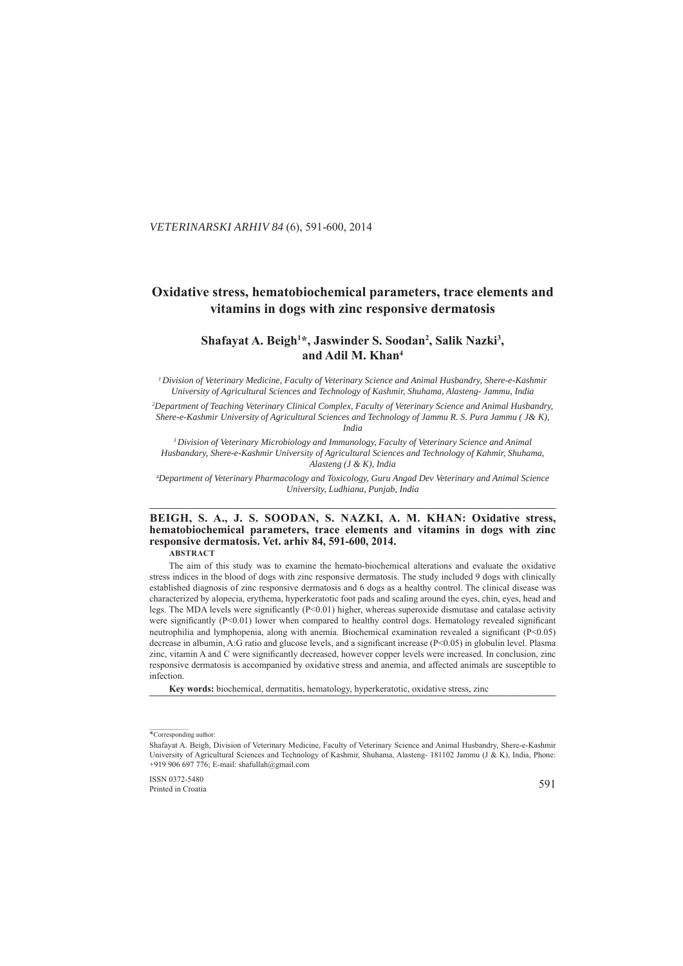. *VETERINARSKI ARHIV 84* (6), 591-600, 2014

# **Oxidative stress, hematobiochemical parameters, trace elements and vitamins in dogs with zinc responsive dermatosis itamins**

## **Shafayat A. Beigh<sup>1\*</sup>, Jaswinder S. Soodan<sup>2</sup>, Salik Nazki<sup>3</sup>,** and Adil M. Khan<sup>4</sup>

<sup>1</sup> Division of Veterinary Medicine, Faculty of Veterinary Science and Animal Husbandry, Shere-e-Kashmir *University of Agricultural Sciences and Technology of Kashmir, Shuhama, Alasteng- Jammu, India niversity Technology of* 

<sup>2</sup>Department of Teaching Veterinary Clinical Complex, Faculty of Veterinary Science and Animal Husbandry, *Shere-e-Kashmir University of Agricultural Sciences and Technology of Jammu R. S. Pura Jammu ( J& K), here-e-Kashmir India* 

<sup>3</sup> Division of Veterinary Microbiology and Immunology, Faculty of Veterinary Science and Animal *Husbandary, Shere-e-Kashmir University of Agricultural Sciences and Technology of Kahmir, Shuhama, Alasteng (J & K), India lasteng* 

*4 Department of Veterinary Pharmacology and Toxicology, Guru Angad Dev Veterinary and Animal Science epartment Animal Science University, Ludhiana, Punjab, India niversity,*  **\_\_\_\_\_\_\_\_\_\_\_\_\_\_\_\_\_\_\_\_\_\_\_\_\_\_\_\_\_\_\_\_\_\_\_\_\_\_\_\_\_\_\_\_\_\_\_\_\_\_\_\_\_\_\_\_\_\_\_\_\_\_\_ \_\_\_\_\_\_\_\_\_\_\_\_\_\_\_\_\_\_\_\_\_\_\_\_\_\_\_\_\_\_\_\_\_\_\_\_\_\_\_\_\_\_\_\_\_\_\_\_\_\_\_\_\_\_\_\_\_\_\_\_\_\_\_\_\_\_\_\_\_\_\_\_\_\_\_\_\_\_\_\_\_\_\_\_\_\_\_ \_\_\_\_\_\_\_\_\_\_\_\_\_\_\_\_\_\_\_\_\_\_\_\_\_**

## BEIGH, S. A., J. S. SOODAN, S. NAZKI, A. M. KHAN: Oxidative stress, **hematobiochemical parameters, trace elements and vitamins in dogs with zinc responsive dermatosis esponsive dermatosis. Vet. arhiv 84, 591-600, 2014.**

**ABSTRACT**

The aim of this study was to examine the hemato-biochemical alterations and evaluate the oxidative stress indices in the blood of dogs with zinc responsive dermatosis. The study included 9 dogs with clinically established diagnosis of zinc responsive dermatosis and 6 dogs as a healthy control. The clinical disease was characterized by alopecia, erythema, hyperkeratotic foot pads and scaling around the eyes, chin, eyes, head and legs. The MDA levels were significantly (P<0.01) higher, whereas superoxide dismutase and catalase activity were significantly (P<0.01) lower when compared to healthy control dogs. Hematology revealed significant neutrophilia and lymphopenia, along with anemia. Biochemical examination revealed a significant  $(P<0.05)$ decrease in albumin, A:G ratio and glucose levels, and a significant increase ( $P<0.05$ ) in globulin level. Plasma zinc, vitamin A and C were significantly decreased, however copper levels were increased. In conclusion, zinc responsive dermatosis is accompanied by oxidative stress and anemia, and affected animals are susceptible to infection.

Key words: biochemical, dermatitis, hematology, hyperkeratotic, oxidative stress, zinc

ISSN 0372-5480<br>Printed in Croatia Printed in Croatia

<sup>\*</sup>Corresponding author:

Shafayat A. Beigh, Division of Veterinary Medicine, Faculty of Veterinary Science and Animal Husbandry, Shere-e-Kashmir University of Agricultural Sciences and Technology of Kashmir, Shuhama, Alasteng- 181102 Jammu (J & K), India, Phone: +919 906 697 776; E-mail: shafullah@gmail.com 919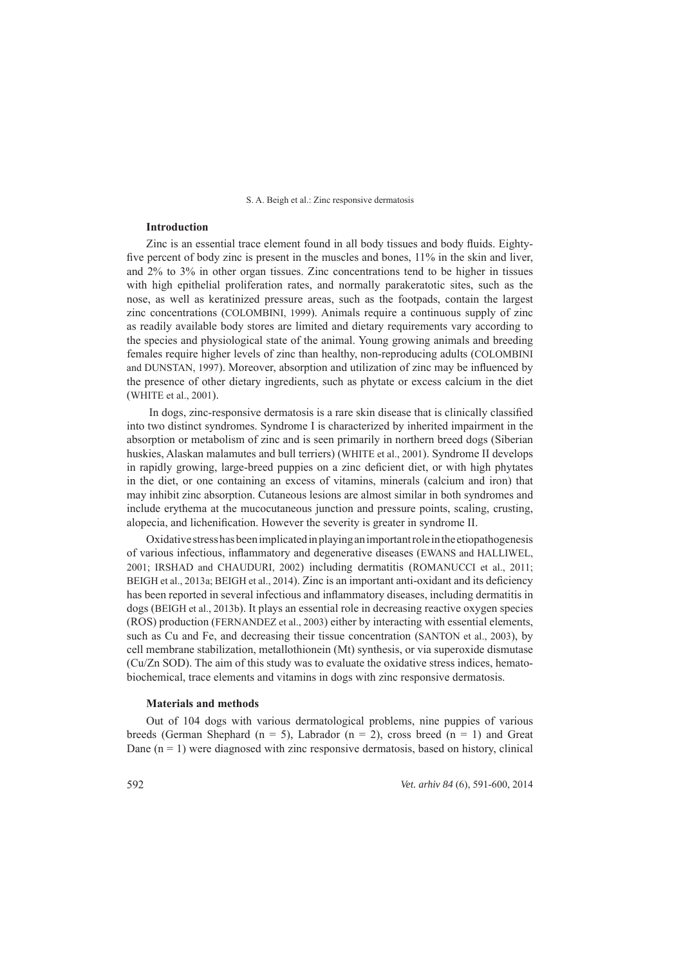## **Introduction ntroduction**

Zinc is an essential trace element found in all body tissues and body fluids. Eightyfive percent of body zinc is present in the muscles and bones,  $11\%$  in the skin and liver, and  $2\%$  to  $3\%$  in other organ tissues. Zinc concentrations tend to be higher in tissues with high epithelial proliferation rates, and normally parakeratotic sites, such as the nose, as well as keratinized pressure areas, such as the footpads, contain the largest zinc concentrations (COLOMBINI, 1999). Animals require a continuous supply of zinc as readily available body stores are limited and dietary requirements vary according to the species and physiological state of the animal. Young growing animals and breeding females require higher levels of zinc than healthy, non-reproducing adults (COLOMBINI and DUNSTAN, 1997). Moreover, absorption and utilization of zinc may be influenced by the presence of other dietary ingredients, such as phytate or excess calcium in the diet (WHITE et al., 2001).

In dogs, zinc-responsive dermatosis is a rare skin disease that is clinically classified into two distinct syndromes. Syndrome I is characterized by inherited impairment in the absorption or metabolism of zinc and is seen primarily in northern breed dogs (Siberian huskies, Alaskan malamutes and bull terriers) (WHITE et al., 2001). Syndrome II develops in rapidly growing, large-breed puppies on a zinc deficient diet, or with high phytates in the diet, or one containing an excess of vitamins, minerals (calcium and iron) that may inhibit zinc absorption. Cutaneous lesions are almost similar in both syndromes and include erythema at the mucocutaneous junction and pressure points, scaling, crusting, alopecia, and lichenification. However the severity is greater in syndrome II.

Oxidative stress has been implicated in playing an important role in the etiopathogenesis of various infectious, inflammatory and degenerative diseases (EWANS and HALLIWEL, 2001; IRSHAD and CHAUDURI, 2002) including dermatitis (ROMANUCCI et al., 2011; BEIGH et al., 2013a; BEIGH et al., 2014). Zinc is an important anti-oxidant and its deficiency has been reported in several infectious and inflammatory diseases, including dermatitis in dogs (BEIGH et al., 2013b). It plays an essential role in decreasing reactive oxygen species (ROS) production (FERNANDEZ et al., 2003) either by interacting with essential elements, such as Cu and Fe, and decreasing their tissue concentration (SANTON et al., 2003), by cell membrane stabilization, metallothionein (Mt) synthesis, or via superoxide dismutase  $(Cu/Zn SOD)$ . The aim of this study was to evaluate the oxidative stress indices, hematobiochemical, trace elements and vitamins in dogs with zinc responsive dermatosis.

### **Materials and methods aterials**

Out of 104 dogs with various dermatological problems, nine puppies of various breeds (German Shephard (n = 5), Labrador (n = 2), cross breed (n = 1) and Great Dane  $(n = 1)$  were diagnosed with zinc responsive dermatosis, based on history, clinical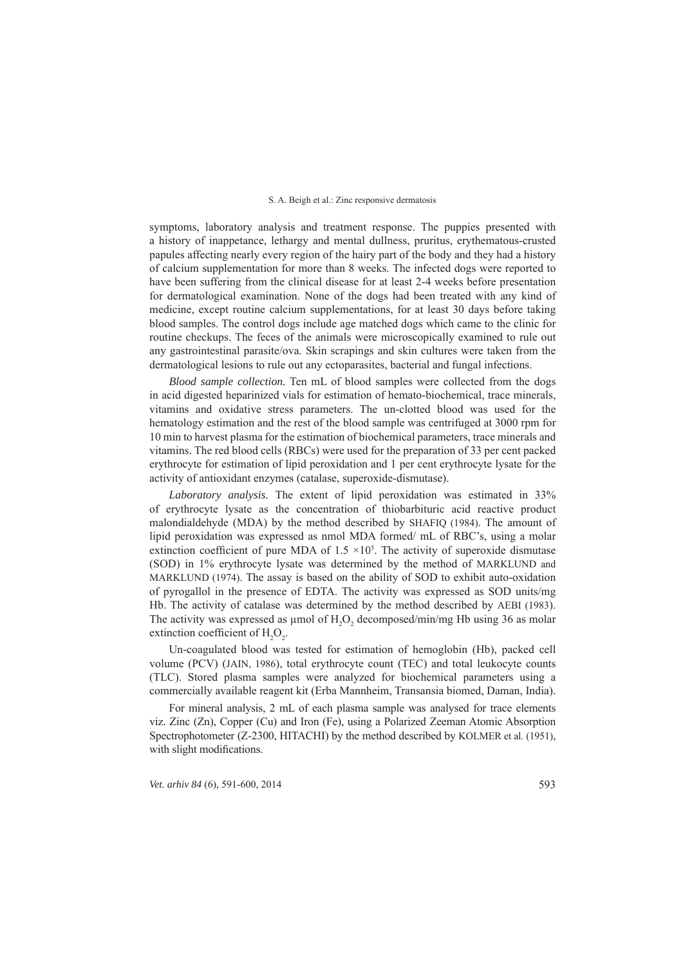symptoms, laboratory analysis and treatment response. The puppies presented with a history of inappetance, lethargy and mental dullness, pruritus, erythematous-crusted papules affecting nearly every region of the hairy part of the body and they had a history of calcium supplementation for more than 8 weeks. The infected dogs were reported to have been suffering from the clinical disease for at least 2-4 weeks before presentation for dermatological examination. None of the dogs had been treated with any kind of medicine, except routine calcium supplementations, for at least 30 days before taking blood samples. The control dogs include age matched dogs which came to the clinic for routine checkups. The feces of the animals were microscopically examined to rule out any gastrointestinal parasite/ova. Skin scrapings and skin cultures were taken from the dermatological lesions to rule out any ectoparasites, bacterial and fungal infections.

*Blood sample collection*. Ten mL of blood samples were collected from the dogs in acid digested heparinized vials for estimation of hemato-biochemical, trace minerals, vitamins and oxidative stress parameters. The un-clotted blood was used for the hematology estimation and the rest of the blood sample was centrifuged at 3000 rpm for 10 min to harvest plasma for the estimation of biochemical parameters, trace minerals and vitamins. The red blood cells (RBCs) were used for the preparation of 33 per cent packed erythrocyte for estimation of lipid peroxidation and 1 per cent erythrocyte lysate for the activity of antioxidant enzymes (catalase, superoxide-dismutase).

*Laboratory analysis*. The extent of lipid peroxidation was estimated in 33% of erythrocyte lysate as the concentration of thiobarbituric acid reactive product malondialdehyde (MDA) by the method described by SHAFIQ (1984). The amount of lipid peroxidation was expressed as nmol MDA formed/ mL of RBC's, using a molar extinction coefficient of pure MDA of  $1.5 \times 10^5$ . The activity of superoxide dismutase (SOD) in 1% erythrocyte lysate was determined by the method of MARKLUND and MARKLUND (1974). The assay is based on the ability of SOD to exhibit auto-oxidation of pyrogallol in the presence of EDTA. The activity was expressed as SOD units/mg Hb. The activity of catalase was determined by the method described by AEBI (1983). The activity was expressed as  $\mu$ mol of  $H_2O_2$  decomposed/min/mg Hb using 36 as molar extinction coefficient of  $H_2O_2$ .

Un-coagulated blood was tested for estimation of hemoglobin (Hb), packed cell volume (PCV) (JAIN, 1986), total erythrocyte count (TEC) and total leukocyte counts (TLC). Stored plasma samples were analyzed for biochemical parameters using a commercially available reagent kit (Erba Mannheim, Transansia biomed, Daman, India).

For mineral analysis, 2 mL of each plasma sample was analysed for trace elements viz. Zinc  $(Zn)$ , Copper (Cu) and Iron (Fe), using a Polarized Zeeman Atomic Absorption Spectrophotometer (Z-2300, HITACHI) by the method described by KOLMER et al. (1951), with slight modifications.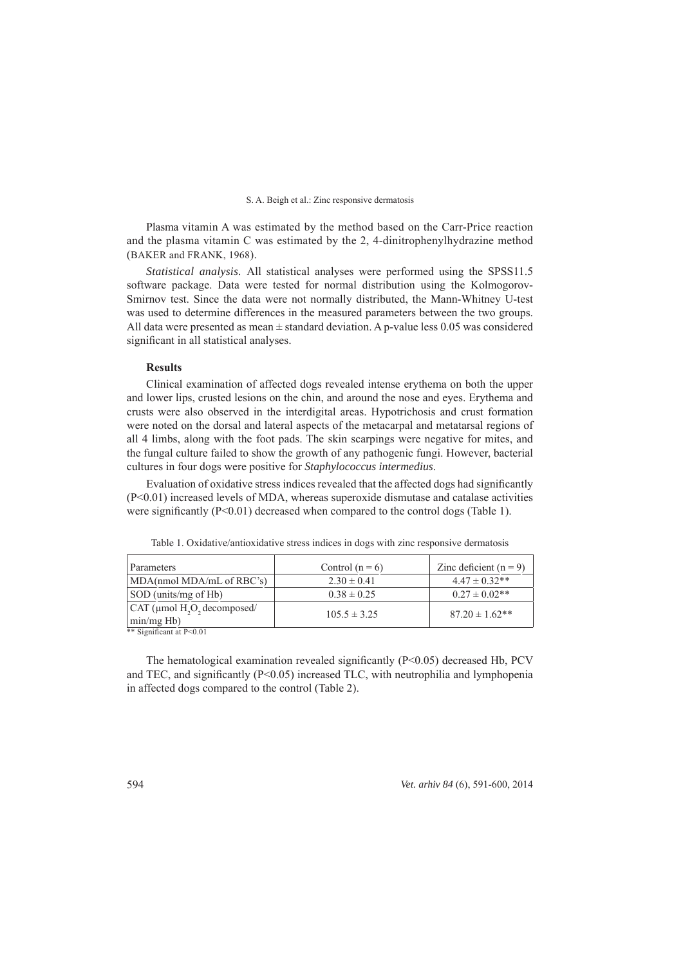Plasma vitamin A was estimated by the method based on the Carr-Price reaction and the plasma vitamin C was estimated by the  $2$ , 4-dinitrophenylhydrazine method  $(BAKER and FRANK, 1968).$ 

*Statistical analysis.* All statistical analyses were performed using the SPSS11.5 software package. Data were tested for normal distribution using the Kolmogorov-Smirnov test. Since the data were not normally distributed, the Mann-Whitney U-test was used to determine differences in the measured parameters between the two groups. All data were presented as mean  $\pm$  standard deviation. A p-value less 0.05 was considered significant in all statistical analyses.

## **Results**

Clinical examination of affected dogs revealed intense erythema on both the upper and lower lips, crusted lesions on the chin, and around the nose and eyes. Erythema and crusts were also observed in the interdigital areas. Hypotrichosis and crust formation were noted on the dorsal and lateral aspects of the metacarpal and metatarsal regions of all 4 limbs, along with the foot pads. The skin scarpings were negative for mites, and the fungal culture failed to show the growth of any pathogenic fungi. However, bacterial cultures in four dogs were positive for Staphylococcus intermedius.

Evaluation of oxidative stress indices revealed that the affected dogs had significantly  $(P<0.01)$  increased levels of MDA, whereas superoxide dismutase and catalase activities were significantly  $(P<0.01)$  decreased when compared to the control dogs (Table 1).

| Parameters                                                                                                                                                                                                                                                                                                          | Control $(n = 6)$ | Zinc deficient $(n = 9)$ |
|---------------------------------------------------------------------------------------------------------------------------------------------------------------------------------------------------------------------------------------------------------------------------------------------------------------------|-------------------|--------------------------|
| MDA(nmol MDA/mL of RBC's)                                                                                                                                                                                                                                                                                           | $2.30 \pm 0.41$   | $4.47 \pm 0.32$ **       |
| SOD (units/mg of Hb)                                                                                                                                                                                                                                                                                                | $0.38 \pm 0.25$   | $0.27 \pm 0.02$ **       |
| CAT ( $\mu$ mol H <sub>2</sub> O <sub>2</sub> decomposed/<br>$min/mg$ Hb)                                                                                                                                                                                                                                           | $105.5 \pm 3.25$  | $87.20 \pm 1.62$ **      |
| $\frac{1}{2}$ $\frac{1}{2}$ $\frac{1}{2}$ $\frac{1}{2}$ $\frac{1}{2}$ $\frac{1}{2}$ $\frac{1}{2}$ $\frac{1}{2}$ $\frac{1}{2}$ $\frac{1}{2}$ $\frac{1}{2}$ $\frac{1}{2}$ $\frac{1}{2}$ $\frac{1}{2}$ $\frac{1}{2}$ $\frac{1}{2}$ $\frac{1}{2}$ $\frac{1}{2}$ $\frac{1}{2}$ $\frac{1}{2}$ $\frac{1}{2}$ $\frac{1}{2}$ |                   |                          |

Table 1. Oxidative/antioxidative stress indices in dogs with zinc responsive dermatosis

\*\* Significant at P<0.01

The hematological examination revealed significantly (P<0.05) decreased Hb, PCV and TEC, and significantly  $(P< 0.05)$  increased TLC, with neutrophilia and lymphopenia in affected dogs compared to the control (Table 2).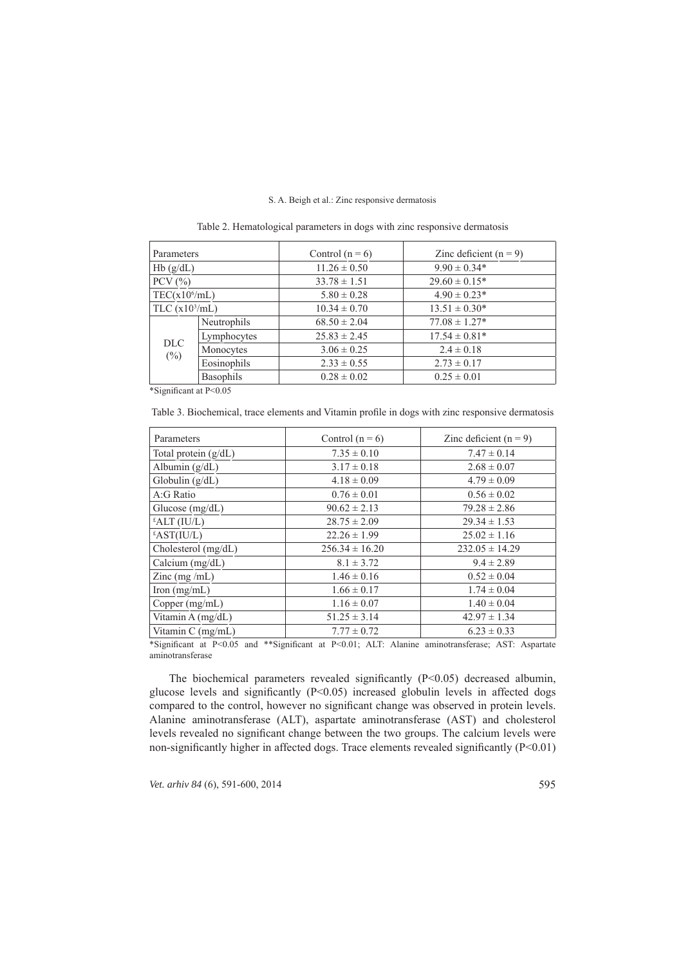| Parameters           |             | Control $(n = 6)$ | Zinc deficient $(n = 9)$ |
|----------------------|-------------|-------------------|--------------------------|
| Hb(g/dL)             |             | $11.26 \pm 0.50$  | $9.90 \pm 0.34*$         |
| $PCV$ $(\% )$        |             | $33.78 \pm 1.51$  | $29.60 \pm 0.15*$        |
| $TEC(x10^6/mL)$      |             | $5.80 \pm 0.28$   | $4.90 \pm 0.23*$         |
| TLC $(x10^3/mL)$     |             | $10.34 \pm 0.70$  | $13.51 \pm 0.30*$        |
| <b>DLC</b><br>$(\%)$ | Neutrophils | $68.50 \pm 2.04$  | $77.08 \pm 1.27*$        |
|                      | Lymphocytes | $25.83 \pm 2.45$  | $17.54 \pm 0.81*$        |
|                      | Monocytes   | $3.06 \pm 0.25$   | $2.4 \pm 0.18$           |
|                      | Eosinophils | $2.33 \pm 0.55$   | $2.73 \pm 0.17$          |
|                      | Basophils   | $0.28 \pm 0.02$   | $0.25 \pm 0.01$          |
|                      |             |                   |                          |

Table 2. Hematological parameters in dogs with zinc responsive dermatosis

\*Significant at P<0.05

Table 3. Biochemical, trace elements and Vitamin profile in dogs with zinc responsive dermatosis

| Parameters               | Control $(n = 6)$  | Zinc deficient $(n = 9)$ |
|--------------------------|--------------------|--------------------------|
| Total protein $(g/dL)$   | $7.35 \pm 0.10$    | $7.47 \pm 0.14$          |
| Albumin $(g/dL)$         | $3.17 \pm 0.18$    | $2.68 \pm 0.07$          |
| Globulin $(g/dL)$        | $4.18 \pm 0.09$    | $4.79 \pm 0.09$          |
| A:G Ratio                | $0.76 \pm 0.01$    | $0.56 \pm 0.02$          |
| Glucose $(mg/dL)$        | $90.62 \pm 2.13$   | $79.28 \pm 2.86$         |
| $^{\text{f}}$ ALT (IU/L) | $28.75 \pm 2.09$   | $29.34 \pm 1.53$         |
| $f$ AST(IU/L)            | $22.26 \pm 1.99$   | $25.02 \pm 1.16$         |
| Cholesterol (mg/dL)      | $256.34 \pm 16.20$ | $232.05 \pm 14.29$       |
| Calcium (mg/dL)          | $8.1 \pm 3.72$     | $9.4 \pm 2.89$           |
| $\text{Zinc}$ (mg/mL)    | $1.46 \pm 0.16$    | $0.52 \pm 0.04$          |
| Iron $(mg/mL)$           | $1.66 \pm 0.17$    | $1.74 \pm 0.04$          |
| Copper (mg/mL)           | $1.16 \pm 0.07$    | $1.40 \pm 0.04$          |
| Vitamin A (mg/dL)        | $51.25 \pm 3.14$   | $42.97 \pm 1.34$         |
| Vitamin C (mg/mL)        | $7.77 \pm 0.72$    | $6.23 \pm 0.33$          |

\*Significant at P<0.05 and \*\*Significant at P<0.01; ALT: Alanine aminotransferase; AST: Aspartate aminotransferase

The biochemical parameters revealed significantly  $(P<0.05)$  decreased albumin, glucose levels and significantly  $(P<0.05)$  increased globulin levels in affected dogs compared to the control, however no significant change was observed in protein levels. Alanine aminotransferase (ALT), aspartate aminotransferase (AST) and cholesterol levels revealed no significant change between the two groups. The calcium levels were non-significantly higher in affected dogs. Trace elements revealed significantly  $(P<0.01)$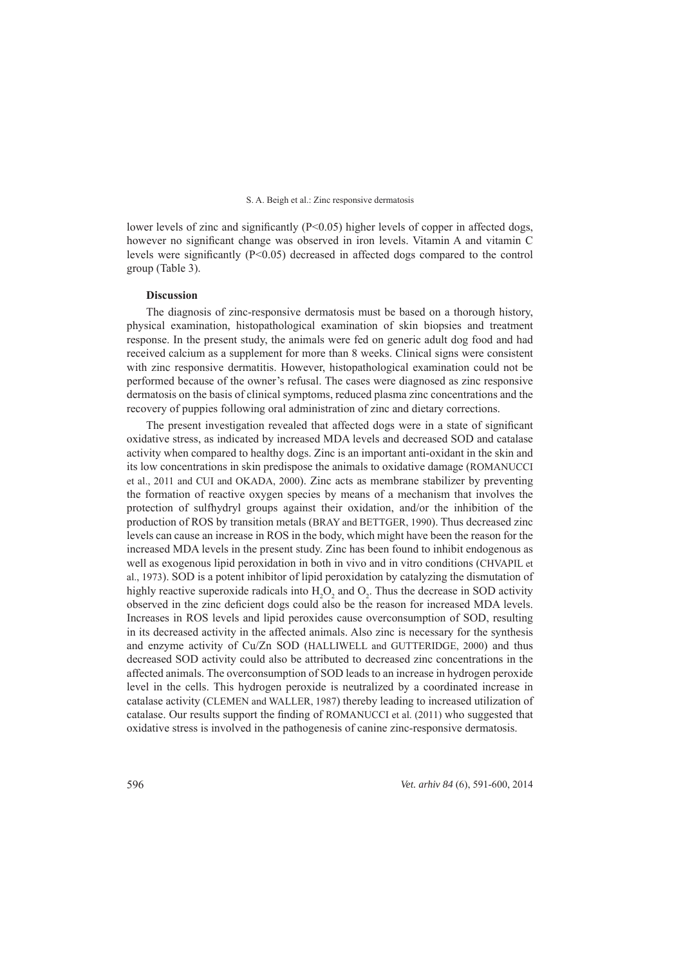lower levels of zinc and significantly ( $P<0.05$ ) higher levels of copper in affected dogs, however no significant change was observed in iron levels. Vitamin A and vitamin C levels were significantly  $(P<0.05)$  decreased in affected dogs compared to the control group (Table 3).

## **Discussion iscussion**

The diagnosis of zinc-responsive dermatosis must be based on a thorough history, physical examination, histopathological examination of skin biopsies and treatment response. In the present study, the animals were fed on generic adult dog food and had received calcium as a supplement for more than 8 weeks. Clinical signs were consistent with zinc responsive dermatitis. However, histopathological examination could not be performed because of the owner's refusal. The cases were diagnosed as zinc responsive dermatosis on the basis of clinical symptoms, reduced plasma zinc concentrations and the recovery of puppies following oral administration of zinc and dietary corrections.

The present investigation revealed that affected dogs were in a state of significant oxidative stress, as indicated by increased MDA levels and decreased SOD and catalase activity when compared to healthy dogs. Zinc is an important anti-oxidant in the skin and its low concentrations in skin predispose the animals to oxidative damage (ROMANUCCI et al., 2011 and CUI and OKADA, 2000). Zinc acts as membrane stabilizer by preventing the formation of reactive oxygen species by means of a mechanism that involves the protection of sulfhydryl groups against their oxidation, and/or the inhibition of the production of ROS by transition metals (BRAY and BETTGER, 1990). Thus decreased zinc levels can cause an increase in ROS in the body, which might have been the reason for the increased MDA levels in the present study. Zinc has been found to inhibit endogenous as well as exogenous lipid peroxidation in both in vivo and in vitro conditions (CHVAPIL et al., 1973). SOD is a potent inhibitor of lipid peroxidation by catalyzing the dismutation of highly reactive superoxide radicals into  $H_2O_2$  and  $O_2$ . Thus the decrease in SOD activity observed in the zinc deficient dogs could also be the reason for increased MDA levels. Increases in ROS levels and lipid peroxides cause overconsumption of SOD, resulting in its decreased activity in the affected animals. Also zinc is necessary for the synthesis and enzyme activity of  $Cu/Zn$  SOD (HALLIWELL and GUTTERIDGE, 2000) and thus decreased SOD activity could also be attributed to decreased zinc concentrations in the affected animals. The overconsumption of SOD leads to an increase in hydrogen peroxide level in the cells. This hydrogen peroxide is neutralized by a coordinated increase in catalase activity (CLEMEN and WALLER, 1987) thereby leading to increased utilization of catalase. Our results support the finding of ROMANUCCI et al. (2011) who suggested that oxidative stress is involved in the pathogenesis of canine zinc-responsive dermatosis.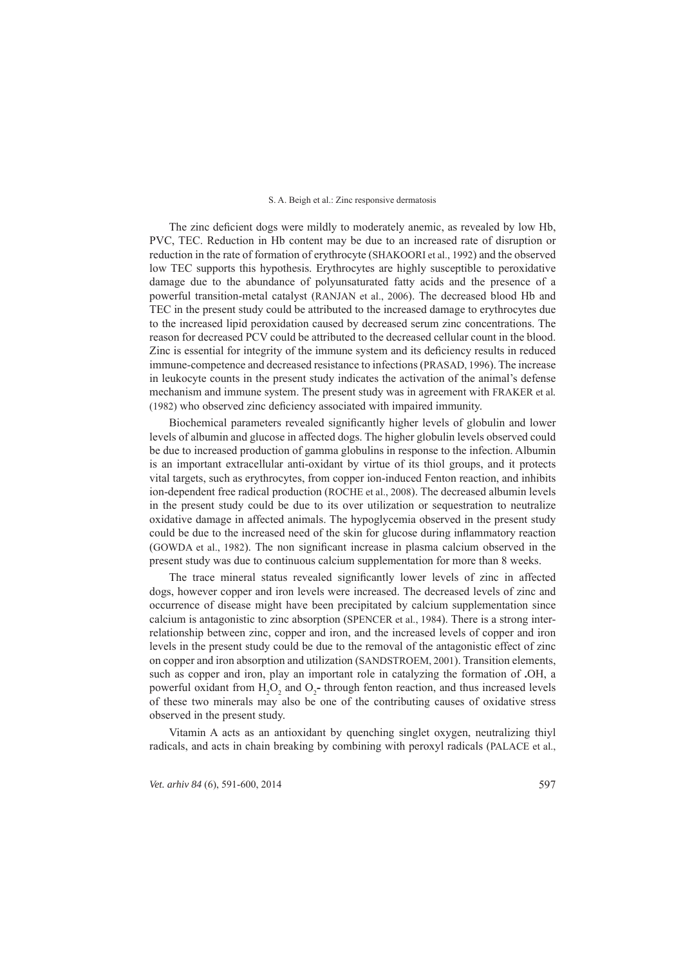The zinc deficient dogs were mildly to moderately anemic, as revealed by low Hb, PVC, TEC. Reduction in Hb content may be due to an increased rate of disruption or reduction in the rate of formation of erythrocyte (SHAKOORI et al., 1992) and the observed low TEC supports this hypothesis. Erythrocytes are highly susceptible to peroxidative damage due to the abundance of polyunsaturated fatty acids and the presence of a powerful transition-metal catalyst (RANJAN et al., 2006). The decreased blood Hb and TEC in the present study could be attributed to the increased damage to erythrocytes due to the increased lipid peroxidation caused by decreased serum zinc concentrations. The reason for decreased PCV could be attributed to the decreased cellular count in the blood. Zinc is essential for integrity of the immune system and its deficiency results in reduced immune-competence and decreased resistance to infections (PRASAD, 1996). The increase in leukocyte counts in the present study indicates the activation of the animal's defense mechanism and immune system. The present study was in agreement with FRAKER et al.  $(1982)$  who observed zinc deficiency associated with impaired immunity.

Biochemical parameters revealed significantly higher levels of globulin and lower levels of albumin and glucose in affected dogs. The higher globulin levels observed could be due to increased production of gamma globulins in response to the infection. Albumin is an important extracellular anti-oxidant by virtue of its thiol groups, and it protects vital targets, such as erythrocytes, from copper ion-induced Fenton reaction, and inhibits ion-dependent free radical production (ROCHE et al., 2008). The decreased albumin levels in the present study could be due to its over utilization or sequestration to neutralize oxidative damage in affected animals. The hypoglycemia observed in the present study could be due to the increased need of the skin for glucose during inflammatory reaction (GOWDA et al., 1982). The non significant increase in plasma calcium observed in the present study was due to continuous calcium supplementation for more than 8 weeks.

The trace mineral status revealed significantly lower levels of zinc in affected dogs, however copper and iron levels were increased. The decreased levels of zinc and occurrence of disease might have been precipitated by calcium supplementation since calcium is antagonistic to zinc absorption (SPENCER et al., 1984). There is a strong interrelationship between zinc, copper and iron, and the increased levels of copper and iron levels in the present study could be due to the removal of the antagonistic effect of zinc on copper and iron absorption and utilization (SANDSTROEM, 2001). Transition elements, such as copper and iron, play an important role in catalyzing the formation of  $O$ H, a powerful oxidant from H<sub>2</sub>O<sub>2</sub> and O<sub>2</sub>- through fenton reaction, and thus increased levels of these two minerals may also be one of the contributing causes of oxidative stress observed in the present study.

Vitamin A acts as an antioxidant by quenching singlet oxygen, neutralizing thiyl radicals, and acts in chain breaking by combining with peroxyl radicals (PALACE et al.,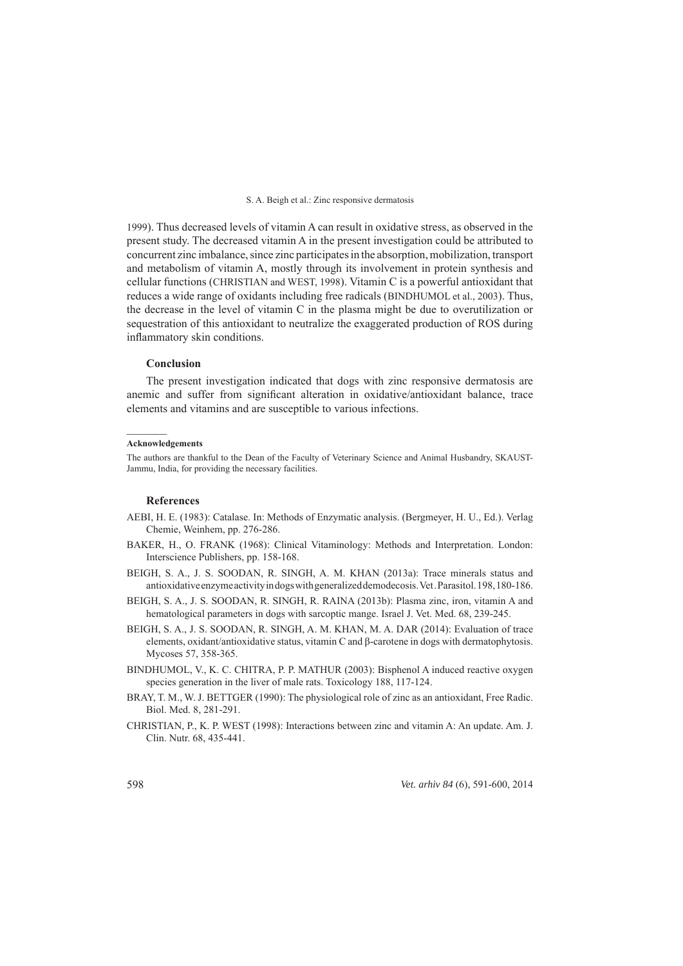1999). Thus decreased levels of vitamin A can result in oxidative stress, as observed in the present study. The decreased vitamin A in the present investigation could be attributed to concurrent zinc imbalance, since zinc participates in the absorption, mobilization, transport and metabolism of vitamin A, mostly through its involvement in protein synthesis and cellular functions (CHRISTIAN and WEST, 1998). Vitamin C is a powerful antioxidant that reduces a wide range of oxidants including free radicals (BINDHUMOL et al., 2003). Thus, the decrease in the level of vitamin  $C$  in the plasma might be due to overutilization or sequestration of this antioxidant to neutralize the exaggerated production of ROS during inflammatory skin conditions.

## **Conclusion onclusion**

The present investigation indicated that dogs with zinc responsive dermatosis are anemic and suffer from significant alteration in oxidative/antioxidant balance, trace elements and vitamins and are susceptible to various infections.

## **Acknowledgements**

 $\mathcal{L}=\mathcal{L}$ 

The authors are thankful to the Dean of the Faculty of Veterinary Science and Animal Husbandry, SKAUST-Jammu, India, for providing the necessary facilities.

## **References eferences**

- AEBI, H. E. (1983): Catalase. In: Methods of Enzymatic analysis. (Bergmeyer, H. U., Ed.). Verlag Chemie, Weinhem, pp. 276-286.
- BAKER, H., O. FRANK (1968): Clinical Vitaminology: Methods and Interpretation. London: Interscience Publishers, pp. 158-168.
- BEIGH, S. A., J. S. SOODAN, R. SINGH, A. M. KHAN (2013a): Trace minerals status and antioxidative enzyme activity in dogs with generalized demodecosis. Vet . Parasitol. 198, 180-186.
- BEIGH, S. A., J. S. SOODAN, R. SINGH, R. RAINA (2013b): Plasma zinc, iron, vitamin A and hematological parameters in dogs with sarcoptic mange. Israel J. Vet. Med. 68, 239-245.
- BEIGH, S. A., J. S. SOODAN, R. SINGH, A. M. KHAN, M. A. DAR (2014): Evaluation of trace elements, oxidant/antioxidative status, vitamin C and β-carotene in dogs with dermatophytosis. Mycoses 57, 358-365.
- BINDHUMOL, V., K. C. CHITRA, P. P. MATHUR (2003): Bisphenol A induced reactive oxygen species generation in the liver of male rats. Toxicology 188, 117-124.
- BRAY, T. M., W. J. BETTGER (1990): The physiological role of zinc as an antioxidant, Free Radic. Biol. Med. 8, 281-291.
- CHRISTIAN, P., K. P. WEST (1998): Interactions between zinc and vitamin A: An update. Am. J. Clin. Nutr. 68, 435-441.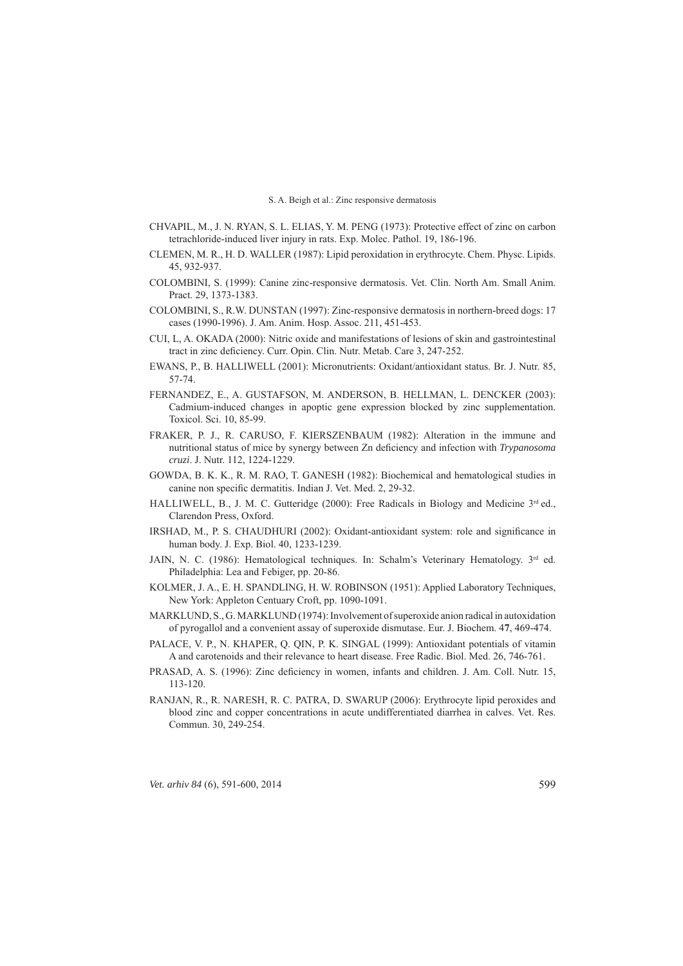- CHVAPIL, M., J. N. RYAN, S. L. ELIAS, Y. M. PENG (1973): Protective effect of zinc on carbon tetrachloride-induced liver injury in rats. Exp. Molec. Pathol. 19, 186-196.
- CLEMEN, M. R., H. D. WALLER (1987): Lipid peroxidation in erythrocyte. Chem. Physc. Lipids. 45, 932-937.
- COLOMBINI, S. (1999): Canine zinc-responsive dermatosis. Vet. Clin. North Am. Small Anim. Pract. 29, 1373-1383.
- COLOMBINI, S., R.W. DUNSTAN (1997): Zinc-responsive dermatosis in northern-breed dogs: 17 cases (1990-1996). J. Am. Anim. Hosp. Assoc. 211, 451-453.
- CUI, L, A. OKADA (2000): Nitric oxide and manifestations of lesions of skin and gastrointestinal tract in zinc deficiency. Curr. Opin. Clin. Nutr. Metab. Care 3, 247-252.
- EWANS, P., B. HALLIWELL (2001): Micronutrients: Oxidant/antioxidant status. Br. J. Nutr. 85, 57-74.
- FERNANDEZ, E., A. GUSTAFSON, M. ANDERSON, B. HELLMAN, L. DENCKER (2003): Cadmium-induced changes in apoptic gene expression blocked by zinc supplementation. Toxicol. Sci. 10, 85-99.
- FRAKER, P. J., R. CARUSO, F. KIERSZENBAUM (1982): Alteration in the immune and nutritional status of mice by synergy between Zn deficiency and infection with *Trypanosoma cruzi*. J. Nutr. 112, 1224-1229.
- GOWDA, B. K. K., R. M. RAO, T. GANESH (1982): Biochemical and hematological studies in canine non specific dermatitis. Indian J. Vet. Med. 2, 29-32.
- HALLIWELL, B., J. M. C. Gutteridge (2000): Free Radicals in Biology and Medicine  $3<sup>rd</sup>$  ed., Clarendon Press, Oxford.
- IRSHAD, M., P. S. CHAUDHURI (2002): Oxidant-antioxidant system: role and significance in human body. J. Exp. Biol. 40, 1233-1239.
- JAIN, N. C. (1986): Hematological techniques. In: Schalm's Veterinary Hematology. 3<sup>rd</sup> ed. Philadelphia: Lea and Febiger, pp. 20-86.
- KOLMER, J. A., E. H. SPANDLING, H. W. ROBINSON (1951): Applied Laboratory Techniques, New York: Appleton Centuary Croft, pp. 1090-1091.
- MARKLUND, S., G. MARKLUND (1974): Involvement of superoxide anion radical in autoxidation of pyrogallol and a convenient assay of superoxide dismutase. Eur. J. Biochem. 47, 469-474.
- PALACE, V. P., N. KHAPER, Q. QIN, P. K. SINGAL (1999): Antioxidant potentials of vitamin A and carotenoids and their relevance to heart disease. Free Radic. Biol. Med. 26, 746-761.
- PRASAD, A. S. (1996): Zinc deficiency in women, infants and children. J. Am. Coll. Nutr. 15, 113-120.
- RANJAN, R., R. NARESH, R. C. PATRA, D. SWARUP (2006): Erythrocyte lipid peroxides and blood zinc and copper concentrations in acute undifferentiated diarrhea in calves. Vet. Res. Commun. 30, 249-254.